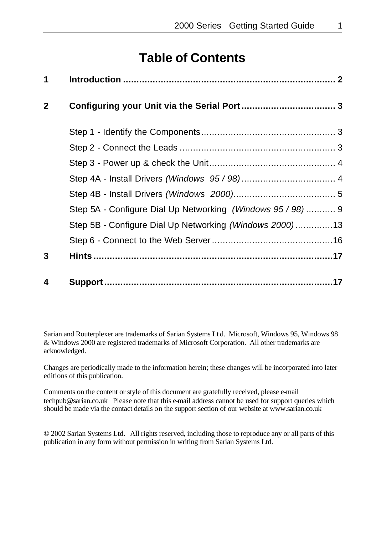## **Table of Contents**

| 1 |                                                             |  |
|---|-------------------------------------------------------------|--|
| 2 |                                                             |  |
|   |                                                             |  |
|   |                                                             |  |
|   |                                                             |  |
|   |                                                             |  |
|   |                                                             |  |
|   | Step 5A - Configure Dial Up Networking (Windows 95 / 98)  9 |  |
|   | Step 5B - Configure Dial Up Networking (Windows 2000)13     |  |
|   |                                                             |  |
| 3 |                                                             |  |
| 4 |                                                             |  |

Sarian and Routerplexer are trademarks of Sarian Systems Lt d. Microsoft, Windows 95, Windows 98 & Windows 2000 are registered trademarks of Microsoft Corporation. All other trademarks are acknowledged.

Changes are periodically made to the information herein; these changes will be incorporated into later editions of this publication.

Comments on the content or style of this document are gratefully received, please e-mail techpub@sarian.co.uk Please note that this e-mail address cannot be used for support queries which should be made via the contact details on the support section of our website at www.sarian.co.uk

© 2002 Sarian Systems Ltd. All rights reserved, including those to reproduce any or all parts of this publication in any form without permission in writing from Sarian Systems Ltd.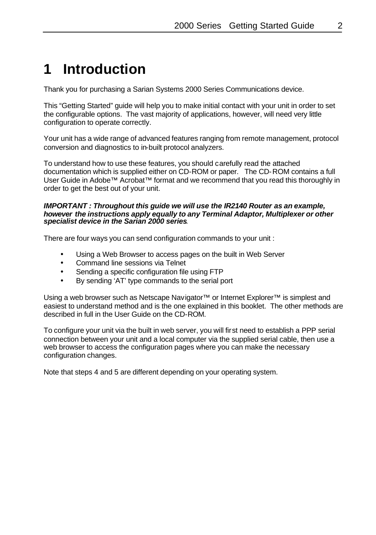## **1 Introduction**

Thank you for purchasing a Sarian Systems 2000 Series Communications device.

This "Getting Started" guide will help you to make initial contact with your unit in order to set the configurable options. The vast majority of applications, however, will need very little configuration to operate correctly.

Your unit has a wide range of advanced features ranging from remote management, protocol conversion and diagnostics to in-built protocol analyzers.

To understand how to use these features, you should carefully read the attached documentation which is supplied either on CD-ROM or paper. The CD-ROM contains a full User Guide in Adobe™ Acrobat™ format and we recommend that you read this thoroughly in order to get the best out of your unit.

#### *IMPORTANT : Throughout this guide we will use the IR2140 Router as an example, however the instructions apply equally to any Terminal Adaptor, Multiplexer or other specialist device in the Sarian 2000 series.*

There are four ways you can send configuration commands to your unit :

- Using a Web Browser to access pages on the built in Web Server
- Command line sessions via Telnet
- Sending a specific configuration file using FTP
- By sending 'AT' type commands to the serial port

Using a web browser such as Netscape Navigator<sup>™</sup> or Internet Explorer<sup>™</sup> is simplest and easiest to understand method and is the one explained in this booklet. The other methods are described in full in the User Guide on the CD-ROM.

To configure your unit via the built in web server, you will first need to establish a PPP serial connection between your unit and a local computer via the supplied serial cable, then use a web browser to access the configuration pages where you can make the necessary configuration changes.

Note that steps 4 and 5 are different depending on your operating system.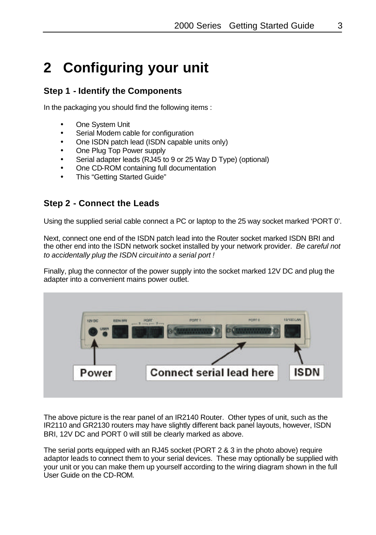# **2 Configuring your unit**

## **Step 1 - Identify the Components**

In the packaging you should find the following items :

- One System Unit
- Serial Modem cable for configuration
- One ISDN patch lead (ISDN capable units only)
- One Plug Top Power supply
- Serial adapter leads (RJ45 to 9 or 25 Way D Type) (optional)
- One CD-ROM containing full documentation
- This "Getting Started Guide"

## **Step 2 - Connect the Leads**

Using the supplied serial cable connect a PC or laptop to the 25 way socket marked 'PORT 0'.

Next, connect one end of the ISDN patch lead into the Router socket marked ISDN BRI and the other end into the ISDN network socket installed by your network provider. *Be careful not to accidentally plug the ISDN circuit into a serial port !*

Finally, plug the connector of the power supply into the socket marked 12V DC and plug the adapter into a convenient mains power outlet.



The above picture is the rear panel of an IR2140 Router. Other types of unit, such as the IR2110 and GR2130 routers may have slightly different back panel layouts, however, ISDN BRI, 12V DC and PORT 0 will still be clearly marked as above.

The serial ports equipped with an RJ45 socket (PORT 2 & 3 in the photo above) require adaptor leads to connect them to your serial devices. These may optionally be supplied with your unit or you can make them up yourself according to the wiring diagram shown in the full User Guide on the CD-ROM.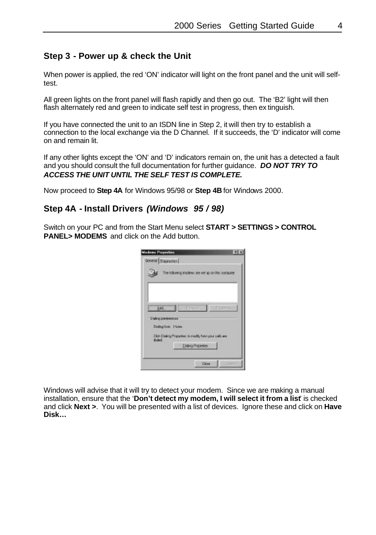### **Step 3 - Power up & check the Unit**

When power is applied, the red 'ON' indicator will light on the front panel and the unit will selftest.

All green lights on the front panel will flash rapidly and then go out. The 'B2' light will then flash alternately red and green to indicate self test in progress, then ex tinguish.

If you have connected the unit to an ISDN line in Step 2, it will then try to establish a connection to the local exchange via the D Channel. If it succeeds, the 'D' indicator will come on and remain lit.

If any other lights except the 'ON' and 'D' indicators remain on, the unit has a detected a fault and you should consult the full documentation for further guidance. *DO NOT TRY TO ACCESS THE UNIT UNTIL THE SELF TEST IS COMPLETE.*

Now proceed to **Step 4A** for Windows 95/98 or **Step 4B** for Windows 2000.

#### **Step 4A - Install Drivers** *(Windows 95 / 98)*

Switch on your PC and from the Start Menu select **START > SETTINGS > CONTROL PANEL> MODEMS** and click on the Add button.

| <b>Moderns Properties</b><br>General Diagnostico |                                                        | 学区            |
|--------------------------------------------------|--------------------------------------------------------|---------------|
|                                                  | The following modern are set up on this computer.      |               |
|                                                  |                                                        |               |
| Add !!                                           | TEST-1                                                 | <b>COFFEE</b> |
| Disting preferences<br>Dialog from 11cms         |                                                        |               |
| daled                                            | Elick Dialing Properties to modify have your calls are |               |
|                                                  | <b>Disirio Pricetiei</b>                               |               |

Windows will advise that it will try to detect your modem. Since we are making a manual installation, ensure that the '**Don't detect my modem, I will select it from a list**' is checked and click **Next >**.You will be presented with a list of devices. Ignore these and click on **Have Disk…**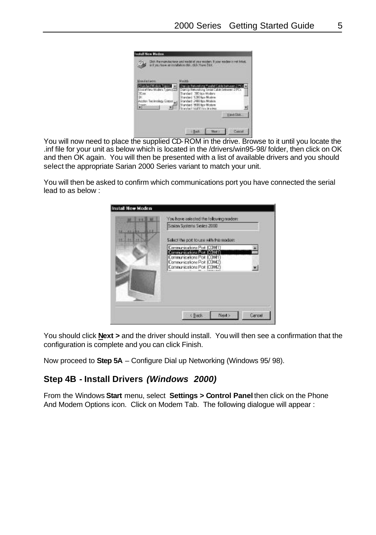|                                                                                                                                 | Dick: the manufacturer and wedel of your recolers if you<br>an if you have an installation clab, 19ck, Hawe Dick',                                                                                                                          |                  |
|---------------------------------------------------------------------------------------------------------------------------------|---------------------------------------------------------------------------------------------------------------------------------------------------------------------------------------------------------------------------------------------|------------------|
| <b>Manufactures</b><br>(Standard Motion: Types)<br>Nobel/leu-Moders Transfill<br>3Day<br>bы<br>Acctor Technoliso, Corpor<br>im. | Macdell<br><b>Chall to Network Fig Monatel</b><br>Dial-Up Networking Small Cabin between 2 PCs.<br>Standard, 380 few Modern<br>Randed 1200 kpc Modern<br>Randard 2480 bps Modem<br>Standard, 5580 late Modern<br>Reported 14:00 from Market |                  |
|                                                                                                                                 |                                                                                                                                                                                                                                             | <b>Have Disk</b> |

You will now need to place the supplied CD-ROM in the drive. Browse to it until you locate the .inf file for your unit as below which is located in the /drivers/win95-98/ folder, then click on OK and then OK again. You will then be presented with a list of available drivers and you should select the appropriate Sarian 2000 Series variant to match your unit.

You will then be asked to confirm which communications port you have connected the serial lead to as below :

| <br>83.2 | You have askepted the following modern.<br>Salan Systems Series 2000                                                                                 |  |
|----------|------------------------------------------------------------------------------------------------------------------------------------------------------|--|
| 66<br>×  | Select the poit to use with this modern.                                                                                                             |  |
|          | Comenumications: Pork (COM1)<br>Communications Port (COM1)<br>Communications Port (COM1)<br>Communications Polt (COM2)<br>Communications Polt (CDM2) |  |
|          |                                                                                                                                                      |  |
|          |                                                                                                                                                      |  |

You should click **Next >** and the driver should install. You will then see a confirmation that the configuration is complete and you can click Finish.

Now proceed to **Step 5A** – Configure Dial up Networking (Windows 95/ 98).

### **Step 4B - Install Drivers** *(Windows 2000)*

From the Windows **Start** menu, select **Settings > Control Panel** then click on the Phone And Modem Options icon. Click on Modem Tab. The following dialogue will appear :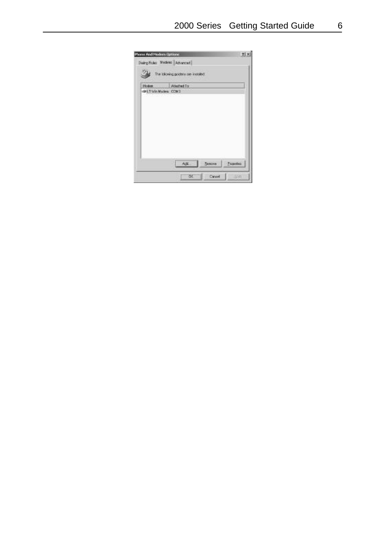| Diskrip Fisker Middell Advanced<br>The idowing poders are installed<br><b>Modest</b><br>Attached To:<br>@1.T.Win Madels CCM2<br>사회사회 전쟁 시험 지금 나서 있다.<br>Add in<br>Tienova<br>· Progettiviz | 인 제         |
|--------------------------------------------------------------------------------------------------------------------------------------------------------------------------------------------|-------------|
|                                                                                                                                                                                            |             |
|                                                                                                                                                                                            |             |
|                                                                                                                                                                                            |             |
|                                                                                                                                                                                            |             |
|                                                                                                                                                                                            |             |
|                                                                                                                                                                                            |             |
|                                                                                                                                                                                            |             |
|                                                                                                                                                                                            |             |
|                                                                                                                                                                                            |             |
|                                                                                                                                                                                            |             |
|                                                                                                                                                                                            |             |
|                                                                                                                                                                                            |             |
|                                                                                                                                                                                            |             |
|                                                                                                                                                                                            |             |
|                                                                                                                                                                                            |             |
|                                                                                                                                                                                            |             |
| äċ<br>Canad                                                                                                                                                                                | <b>Diet</b> |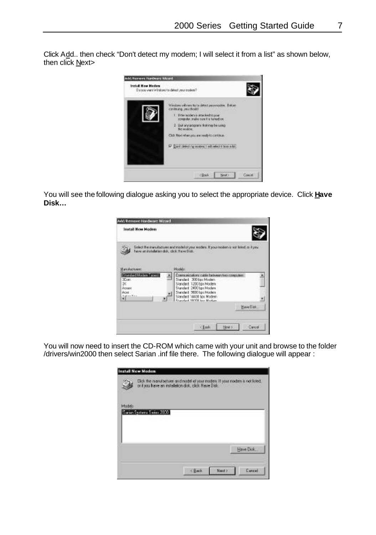Click Add.. then check "Don't detect my modem; I will select it from a list" as shown below, then click Next>



You will see the following dialogue asking you to select the appropriate device. Click **Have Disk…**

| Add/Toemave Hardware Interard               |                                                                                            |                |
|---------------------------------------------|--------------------------------------------------------------------------------------------|----------------|
| Install Hem Hodem                           |                                                                                            |                |
| have en installation disk, click Have Disk. | Select the manufactures and model of your workers. If your modern is not letect or if your |                |
| Manufacturer:                               | Modely:                                                                                    |                |
| 15 tandard Made<br>3Dom<br>ж                | Communications cable batween two computers.<br>Standard, 1200 bps Modern                   |                |
| house<br>Acet.<br>AgherChan                 | Standard 2400 bps Modern<br>Standard 9630 bpc Modern<br>Standard 14400 from Modern         |                |
|                                             | Standard 19700 km Modam                                                                    | <b>HaveDie</b> |
|                                             | (Ecoli<br>New y                                                                            | Cancel         |

You will now need to insert the CD-ROM which came with your unit and browse to the folder /drivers/win2000 then select Sarian .inf file there. The following dialogue will appear :

|        | Elick the nusrutacturer and model of your modern. If your modern is not listed.<br>or it you have an installation disk, click Have Disk. |                                                     |        |            |
|--------|------------------------------------------------------------------------------------------------------------------------------------------|-----------------------------------------------------|--------|------------|
| Models | Sarian Systems Swier 2000                                                                                                                |                                                     |        |            |
|        |                                                                                                                                          |                                                     |        | Have Disk. |
|        |                                                                                                                                          | <back< th=""><th>Need 5</th><th>Carcel</th></back<> | Need 5 | Carcel     |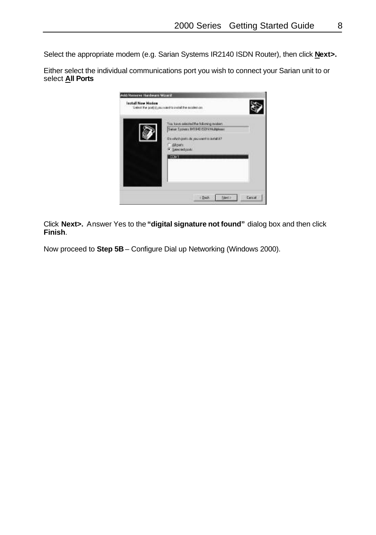Select the appropriate modem (e.g. Sarian Systems IR2140 ISDN Router), then click **Next>.** 

Either select the individual communications port you wish to connect your Sarian unit to or select **All Ports**



Click **Next>.** Answer Yes to the **"digital signature not found"** dialog box and then click **Finish**.

Now proceed to **Step 5B** – Configure Dial up Networking (Windows 2000).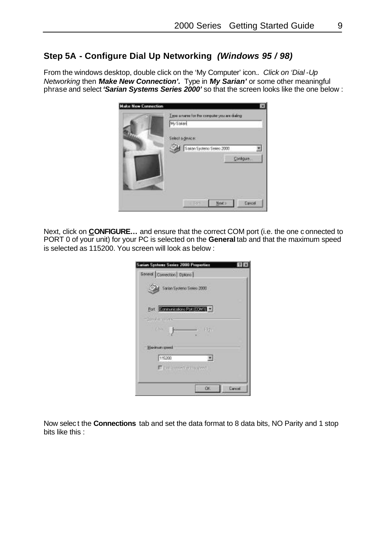### **Step 5A - Configure Dial Up Networking** *(Windows 95 / 98)*

From the windows desktop, double click on the 'My Computer' icon.*. Click on 'Dial -Up Networking* then *'Make New Connection'.* Type in *'My Sarian'* or some other meaningful phrase and select *'Sarian Systems Series 2000'* so that the screen looks like the one below :

| Type wnante for the computer you are dialing:<br>My Salare |  |
|------------------------------------------------------------|--|
| Select a gevice:<br>Sakan Sudenio Serieo 2000<br>Configure |  |
|                                                            |  |

Next, click on **CONFIGURE…** and ensure that the correct COM port (i.e. the one c onnected to PORT 0 of your unit) for your PC is selected on the **General** tab and that the maximum speed is selected as 115200. You screen will look as below :

| <b>Sanian Systems Series 2000 Properties</b> |            |        |
|----------------------------------------------|------------|--------|
| General Convection Dpeant                    |            |        |
| Sarion Systems Series 2000                   |            |        |
| Pat Communications Port (COM1) =             |            |        |
| Sin Art Work<br>® ÷                          | $-5.1771.$ |        |
| Maximum graved                               |            |        |
| 115200                                       |            |        |
| E twizmetermaned                             |            |        |
|                                              |            |        |
|                                              | OK.        | Cancel |

Now selec t the **Connections** tab and set the data format to 8 data bits, NO Parity and 1 stop bits like this :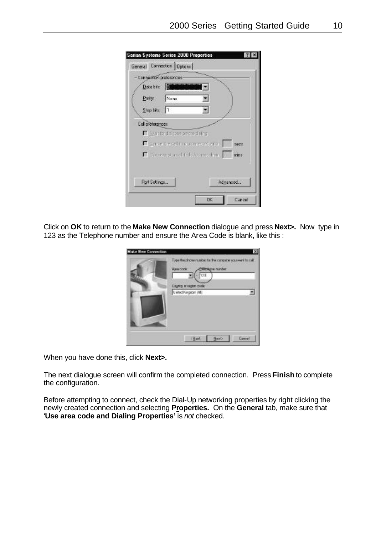|                  | - Entre etion preferences<br>Data bir <b>Brand</b> |       |
|------------------|----------------------------------------------------|-------|
| Paity.           | None                                               |       |
| $S$ lap biks $1$ |                                                    |       |
| Call preferences |                                                    |       |
|                  | El Secrito de conspeccio del ra-                   |       |
|                  | El Large de cel tro conscretivo de                 | secs. |
|                  | Discovered If Licens that I mint                   |       |

Click on **OK** to return to the **Make New Connection** dialogue and press **Next>.** Now type in 123 as the Telephone number and ensure the Area Code is blank, like this :

| <b>Make New Connection</b> | Type the phone random for the computer you went to call.<br><b>Mitskone nunber</b><br>Aprendonte: |        |
|----------------------------|---------------------------------------------------------------------------------------------------|--------|
|                            | na<br>Country or region code:<br>United Kingdom (44)<br><b>INSURANCE DE LA CONTENTION</b>         |        |
|                            | Ned)<br>(fash                                                                                     | Concel |

When you have done this, click **Next>.**

The next dialogue screen will confirm the completed connection. Press **Finish** to complete the configuration.

Before attempting to connect, check the Dial-Up networking properties by right clicking the newly created connection and selecting **Properties.** On the **General** tab, make sure that '**Use area code and Dialing Properties'** is *not* checked.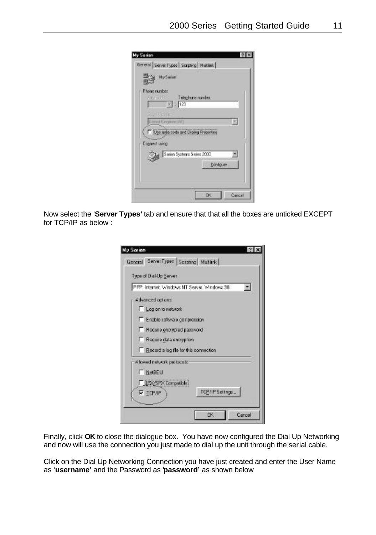| <b>Ny Sarian</b> |                                        |        |
|------------------|----------------------------------------|--------|
|                  | General Server Types Scripting Nutlink |        |
| <b>Ny Swien</b>  |                                        |        |
| Phone number     |                                        |        |
| Stor od E.       | Telephone number:                      |        |
|                  | $= 123$                                |        |
| <b>SAHRWAY</b>   |                                        |        |
| Umwd Kropani Hi  |                                        | 固      |
|                  | Use area code and Dialing Properties   |        |
| Connect using:   |                                        |        |
|                  |                                        |        |
|                  | Sarien Systems Senior 2000             |        |
|                  | Contigues.                             |        |
|                  |                                        |        |
|                  |                                        |        |
|                  |                                        |        |
|                  | <b>DK:</b>                             | Cancel |

Now select the '**Server Types'** tab and ensure that that all the boxes are unticked EXCEPT for TCP/IP as below :

| Type of Dial-Up Server                       |                 |  |
|----------------------------------------------|-----------------|--|
| PPP, Internet, Windows NT Server, Windows 98 |                 |  |
| Advanced options                             |                 |  |
| Log on to network                            |                 |  |
| Enable reflware compression                  |                 |  |
| Require encrypted password                   |                 |  |
| Require data encryption                      |                 |  |
| Record a log file for this connection        |                 |  |
| Allowed network protocols:-                  |                 |  |
| <b>NeBELI</b>                                |                 |  |
| IEX/SPX Competible                           |                 |  |
| <b>V TOPAP</b>                               | TCP/IP Settings |  |

Finally, click **OK** to close the dialogue box. You have now configured the Dial Up Networking and now will use the connection you just made to dial up the unit through the serial cable.

Click on the Dial Up Networking Connection you have just created and enter the User Name as '**username'** and the Password as '**password'** as shown below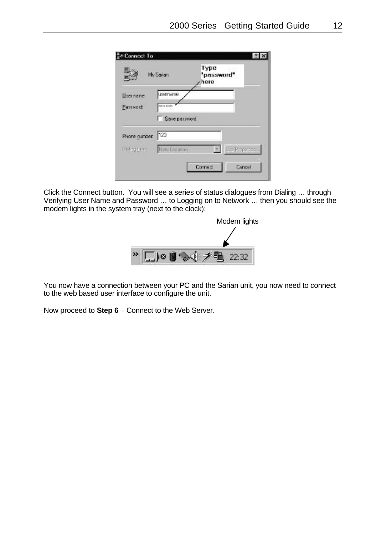|               | Type<br>here                                    |                                             |
|---------------|-------------------------------------------------|---------------------------------------------|
| usemame.      |                                                 |                                             |
| <b>karack</b> |                                                 |                                             |
|               |                                                 |                                             |
| 123           |                                                 |                                             |
|               |                                                 | <b>Cia Proprietori</b>                      |
|               | Connect                                         | Dancel                                      |
|               | <b>Connect To</b><br>My Sarian<br>Phone number: | password"<br>Save password<br>Now Locatory. |

Click the Connect button. You will see a series of status dialogues from Dialing … through Verifying User Name and Password … to Logging on to Network … then you should see the modem lights in the system tray (next to the clock):



You now have a connection between your PC and the Sarian unit, you now need to connect to the web based user interface to configure the unit.

Now proceed to **Step 6** – Connect to the Web Server.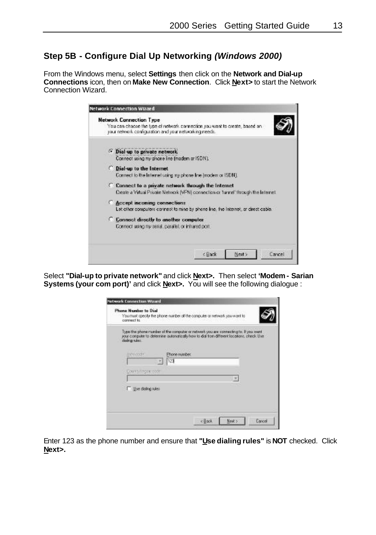## **Step 5B - Configure Dial Up Networking** *(Windows 2000)*

From the Windows menu, select **Settings** then click on the **Network and Dial-up Connections** icon, then on **Make New Connection**. Click **Next>** to start the Network Connection Wizard.

| Network Connection Wizard                                                                                                                                              |
|------------------------------------------------------------------------------------------------------------------------------------------------------------------------|
| <b>Network Connection Type</b><br>You can choose the type of network contraction you want to create, based on<br>your network configuration and your networking needs. |
| <sup>6</sup> Dial-up to private network<br>Connect using my phone line (modem or ISDN).                                                                                |
| <b>C</b> Dial-up to the Internet<br>Connect to the Internet using my phone line (modem or ISDN).                                                                       |
| C Connect to a private network through the Internet<br>Create a Virtual Private Network (VPN) connection or Tunnel' through the Internet                               |
| Accept incoming connections:<br>Let other computers connect to mine by phone line, the Internet, or direct cable.                                                      |
| C Connect directly to another computer<br>Connect using my safal, parallel, or initiated port.                                                                         |
| Next 5<br>Cancel<br><back< td=""></back<>                                                                                                                              |

Select **"Dial-up to private network"** and click **Next>.** Then select **'Modem - Sarian Systems (your com port)'** and click **Next>.** You will see the following dialogue :

| Mutwork Connection Wizard                 |                                                                                                                                                                                 |
|-------------------------------------------|---------------------------------------------------------------------------------------------------------------------------------------------------------------------------------|
| <b>Phone Number to Dial</b><br>connect to | You must openly the phone number of the computer or network you want to                                                                                                         |
| daling sales.                             | Type the phone number of the computer or network you are connecting to. If you went<br>your computer to determine automatically how to dial from different locations, check Use |
| even node                                 | Phone number:<br>123                                                                                                                                                            |
| Courtswegometer                           |                                                                                                                                                                                 |
|                                           | ×                                                                                                                                                                               |
| Use dialing Iules                         |                                                                                                                                                                                 |
|                                           | Cancel<br>x Back<br>New >                                                                                                                                                       |

Enter 123 as the phone number and ensure that **"Use dialing rules"** is **NOT** checked. Click **Next>.**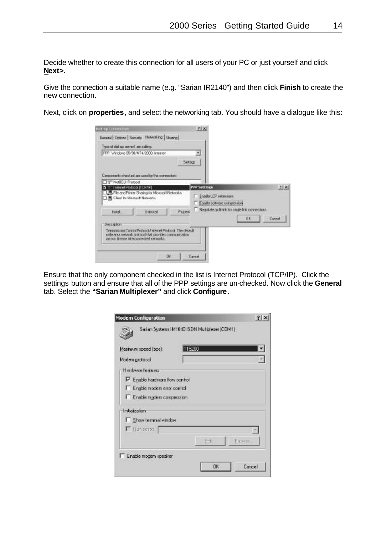Decide whether to create this connection for all users of your PC or just yourself and click **Next>.**

Give the connection a suitable name (e.g. "Sarian IR2140") and then click **Finish** to create the new connection.

Next, click on **properties**, and select the networking tab. You should have a dialogue like this:

| <b>Dial-sp Contenction</b>                                                                                                                            | 7 x                |                                                   |
|-------------------------------------------------------------------------------------------------------------------------------------------------------|--------------------|---------------------------------------------------|
| Benetal Options Security Networking Sharings                                                                                                          |                    |                                                   |
| Type of challep never Lamicalimp -                                                                                                                    |                    |                                                   |
| PPP. Windows 95/98/NT4/2000. Internet                                                                                                                 |                    |                                                   |
|                                                                                                                                                       | Satings            |                                                   |
|                                                                                                                                                       |                    |                                                   |
| Canposants checked are used by this consection                                                                                                        |                    |                                                   |
| T & NetBELl Protocol                                                                                                                                  |                    |                                                   |
| Intervet Protoco (TCP/IP)<br>1. Elle and Pinter Shaing for Microsoft Networks                                                                         | <b>PPP Settmen</b> | 图图                                                |
| <b>B</b> Clay to Nicesoft Networks                                                                                                                    |                    | Enotie LCP estampora                              |
|                                                                                                                                                       |                    | Englis colvere compression                        |
| <b>Fest</b><br>Univocal                                                                                                                               | Properti           | Negotiate quili-link for single link, connections |
|                                                                                                                                                       |                    | Carvel<br>近に                                      |
| December.                                                                                                                                             |                    |                                                   |
| Toyranisson Canto/Pritocol/InternetProtocol The detaut<br>wide area network protocol that provides communication.<br>agos dvera idecoveded relixable. |                    |                                                   |
|                                                                                                                                                       |                    |                                                   |
|                                                                                                                                                       | DE.<br>Carcul      |                                                   |

Ensure that the only component checked in the list is Internet Protocol (TCP/IP). Click the settings button and ensure that all of the PPP settings are un-checked. Now click the **General** tab. Select the **"Sarian Multiplexer"** and click **Configure**.

| Maximum speed (bps):           | 115200 |     |                 |  |
|--------------------------------|--------|-----|-----------------|--|
| Modern protocol                |        |     |                 |  |
| Herdwers features              |        |     |                 |  |
| F Enable hardmare flow pontrol |        |     |                 |  |
| F Enable modem error control   |        |     |                 |  |
| Enable modem compression       |        |     |                 |  |
| Individualism                  |        |     |                 |  |
| 5 Show terminel window         |        |     |                 |  |
| F Bin setps                    |        |     |                 |  |
|                                |        | Ed. | <b>HIGHTINE</b> |  |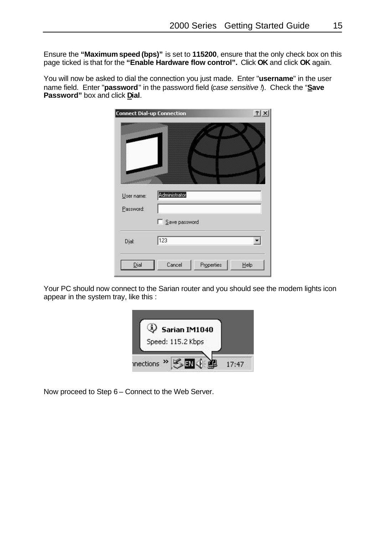Ensure the **"Maximum speed (bps)"** is set to **115200**, ensure that the only check box on this page ticked is that for the **"Enable Hardware flow control".** Click **OK** and click **OK** again.

You will now be asked to dial the connection you just made. Enter "**username**" in the user name field. Enter "**password**" in the password field (*case sensitive !*). Check the "**Save Password"** box and click **Dial**.

|                         | <b>Connect Dial-up Connection</b> | 2 X  |
|-------------------------|-----------------------------------|------|
|                         |                                   |      |
| User name:<br>Password: | Administrator<br>Save password    |      |
| Djal:                   | 123                               |      |
| Dial                    | Cancel<br>Properties              | Help |

Your PC should now connect to the Sarian router and you should see the modem lights icon appear in the system tray, like this :



Now proceed to Step 6 – Connect to the Web Server.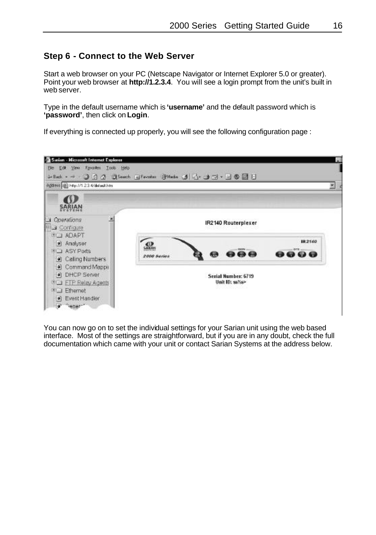### **Step 6 - Connect to the Web Server**

Start a web browser on your PC (Netscape Navigator or Internet Explorer 5.0 or greater). Point your web browser at **http://1.2.3.4**. You will see a login prompt from the unit's built in web server.

Type in the default username which is **'username'** and the default password which is **'password'**, then click on **Login**.

If everything is connected up properly, you will see the following configuration page :



You can now go on to set the individual settings for your Sarian unit using the web based interface. Most of the settings are straightforward, but if you are in any doubt, check the full documentation which came with your unit or contact Sarian Systems at the address below.